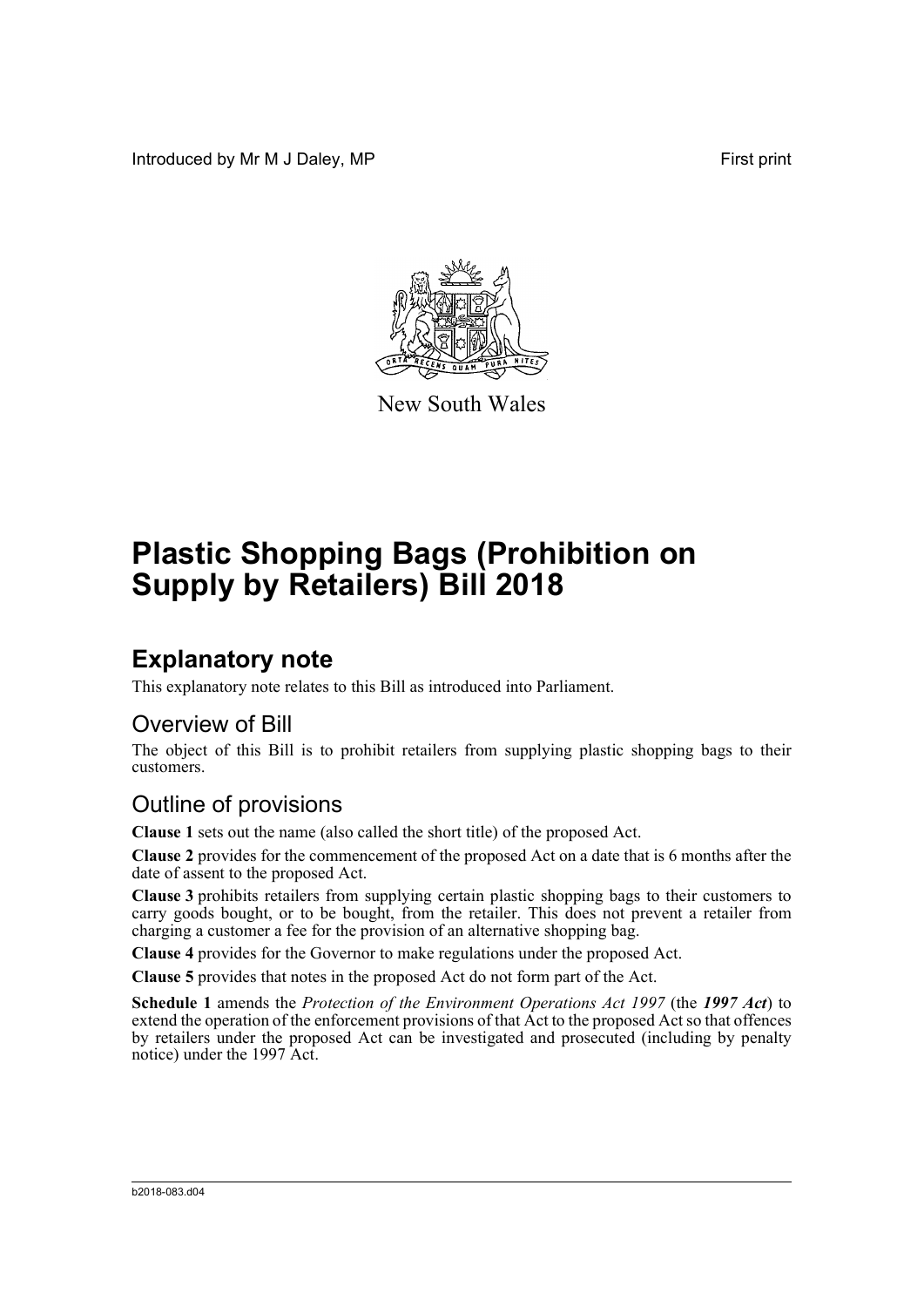Introduced by Mr M J Daley, MP **First** print



New South Wales

# **Plastic Shopping Bags (Prohibition on Supply by Retailers) Bill 2018**

## **Explanatory note**

This explanatory note relates to this Bill as introduced into Parliament.

#### Overview of Bill

The object of this Bill is to prohibit retailers from supplying plastic shopping bags to their customers.

#### Outline of provisions

**Clause 1** sets out the name (also called the short title) of the proposed Act.

**Clause 2** provides for the commencement of the proposed Act on a date that is 6 months after the date of assent to the proposed Act.

**Clause 3** prohibits retailers from supplying certain plastic shopping bags to their customers to carry goods bought, or to be bought, from the retailer. This does not prevent a retailer from charging a customer a fee for the provision of an alternative shopping bag.

**Clause 4** provides for the Governor to make regulations under the proposed Act.

**Clause 5** provides that notes in the proposed Act do not form part of the Act.

**Schedule 1** amends the *Protection of the Environment Operations Act 1997* (the *1997 Act*) to extend the operation of the enforcement provisions of that Act to the proposed Act so that offences by retailers under the proposed Act can be investigated and prosecuted (including by penalty notice) under the 1997 Act.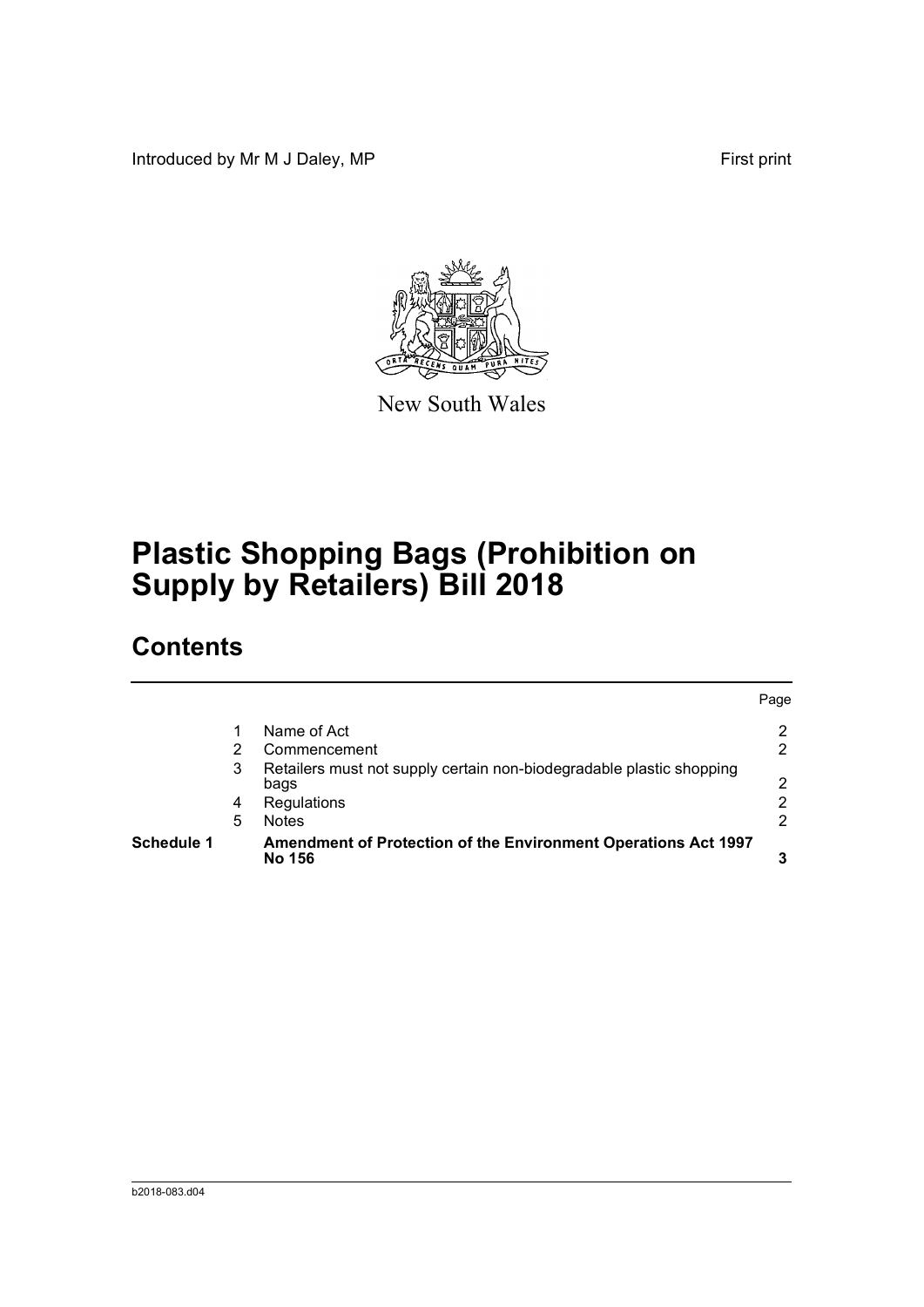Introduced by Mr M J Daley, MP **First** print



New South Wales

# **Plastic Shopping Bags (Prohibition on Supply by Retailers) Bill 2018**

## **Contents**

| <b>Schedule 1</b> |   | Amendment of Protection of the Environment Operations Act 1997<br><b>No 156</b> |      |
|-------------------|---|---------------------------------------------------------------------------------|------|
|                   | 5 | <b>Notes</b>                                                                    | 2    |
|                   | 4 | Regulations                                                                     | 2    |
|                   | 3 | Retailers must not supply certain non-biodegradable plastic shopping<br>bags    | 2    |
|                   |   | Commencement                                                                    | 2    |
|                   |   | Name of Act                                                                     |      |
|                   |   |                                                                                 | Page |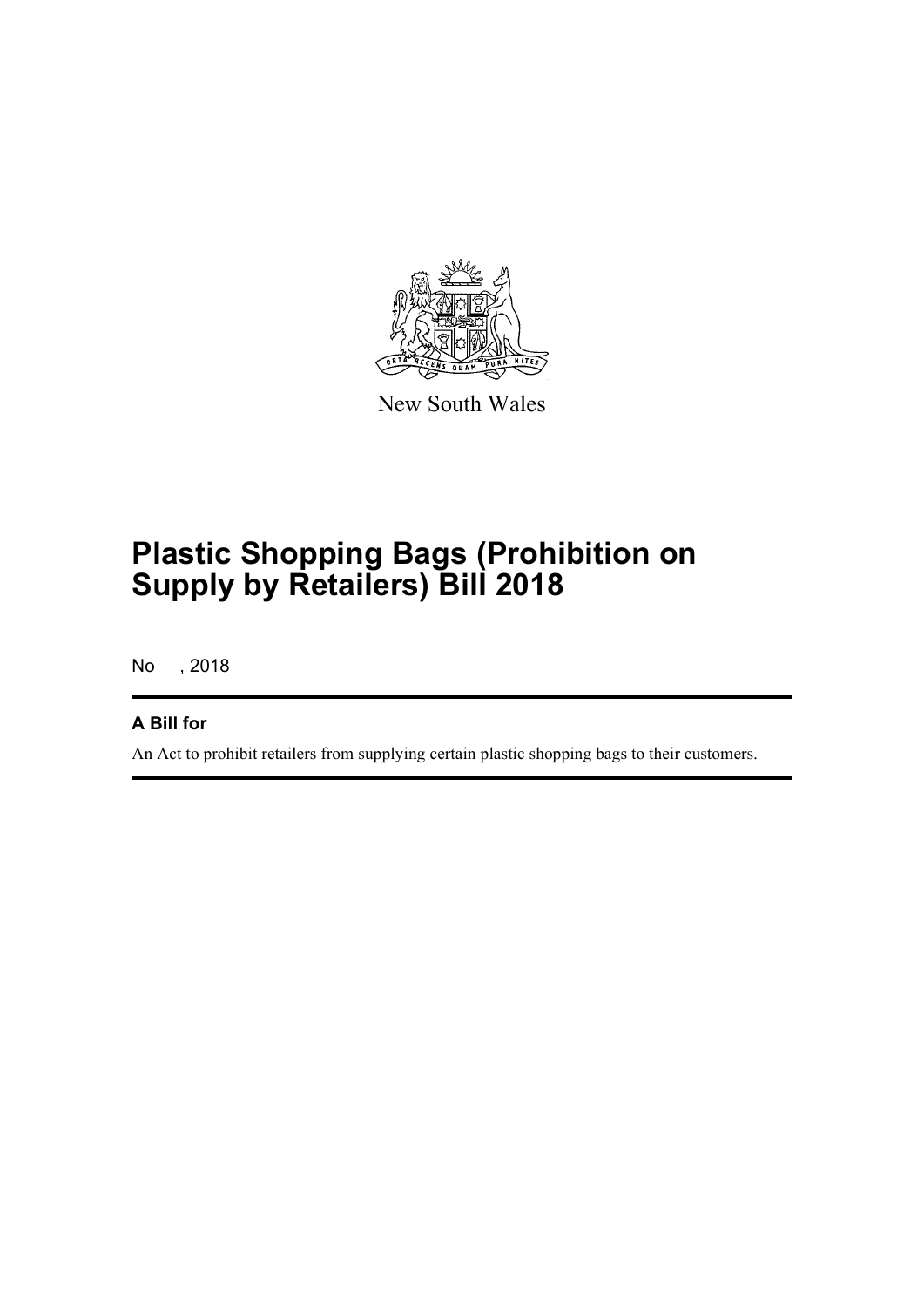

New South Wales

# **Plastic Shopping Bags (Prohibition on Supply by Retailers) Bill 2018**

No , 2018

#### **A Bill for**

An Act to prohibit retailers from supplying certain plastic shopping bags to their customers.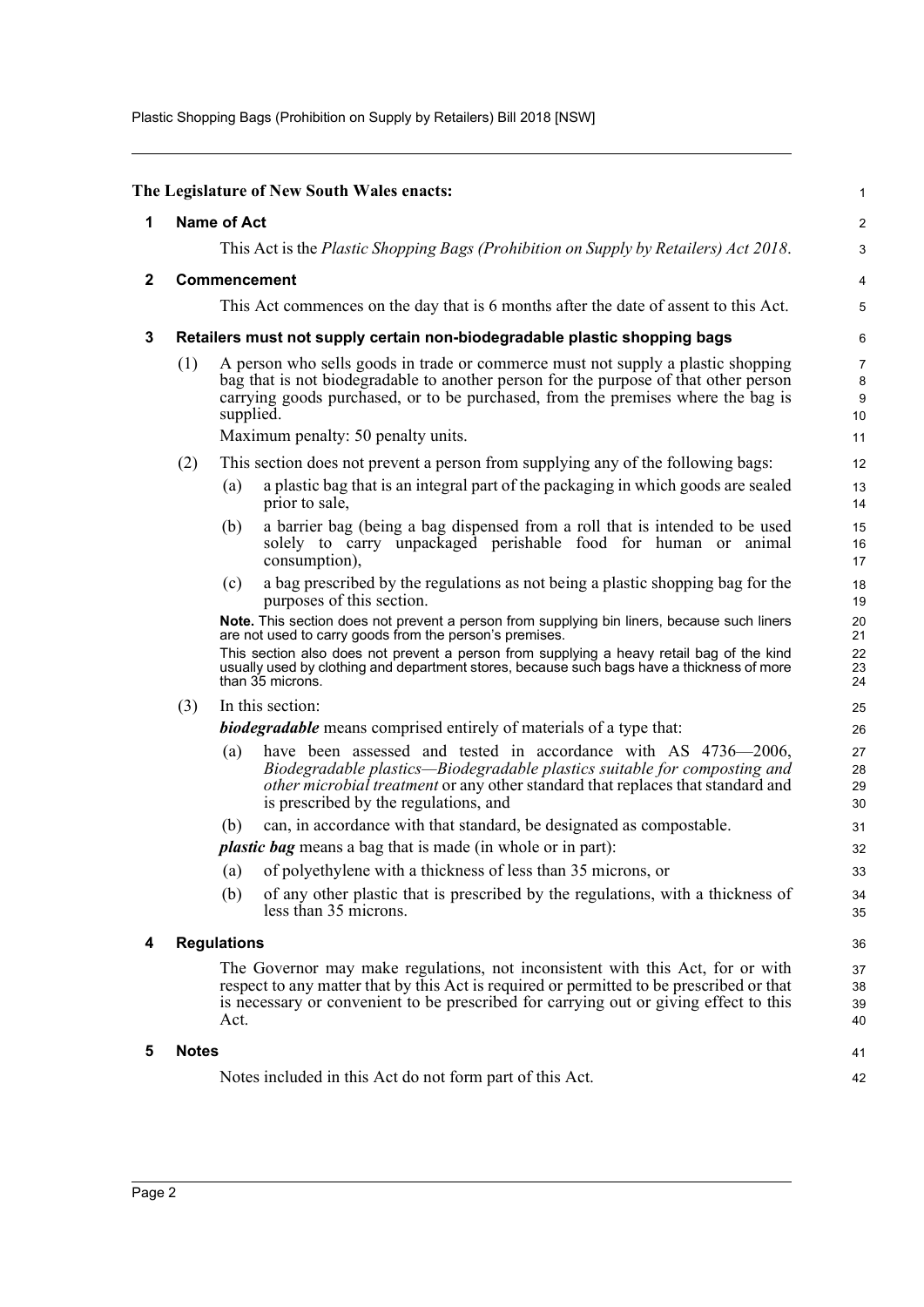Plastic Shopping Bags (Prohibition on Supply by Retailers) Bill 2018 [NSW]

<span id="page-3-4"></span><span id="page-3-3"></span><span id="page-3-2"></span><span id="page-3-1"></span><span id="page-3-0"></span>

|              |                                                                                                                                                                                                                                                                             |                                                                                                                                                                                                                                                                                  | The Legislature of New South Wales enacts:                                                                                                                                                                                                                              | 1                    |  |
|--------------|-----------------------------------------------------------------------------------------------------------------------------------------------------------------------------------------------------------------------------------------------------------------------------|----------------------------------------------------------------------------------------------------------------------------------------------------------------------------------------------------------------------------------------------------------------------------------|-------------------------------------------------------------------------------------------------------------------------------------------------------------------------------------------------------------------------------------------------------------------------|----------------------|--|
| 1            |                                                                                                                                                                                                                                                                             | <b>Name of Act</b>                                                                                                                                                                                                                                                               |                                                                                                                                                                                                                                                                         |                      |  |
|              |                                                                                                                                                                                                                                                                             | This Act is the Plastic Shopping Bags (Prohibition on Supply by Retailers) Act 2018.                                                                                                                                                                                             |                                                                                                                                                                                                                                                                         |                      |  |
| $\mathbf{2}$ |                                                                                                                                                                                                                                                                             | Commencement                                                                                                                                                                                                                                                                     |                                                                                                                                                                                                                                                                         |                      |  |
|              |                                                                                                                                                                                                                                                                             |                                                                                                                                                                                                                                                                                  | This Act commences on the day that is 6 months after the date of assent to this Act.                                                                                                                                                                                    | 5                    |  |
| 3            |                                                                                                                                                                                                                                                                             |                                                                                                                                                                                                                                                                                  | Retailers must not supply certain non-biodegradable plastic shopping bags                                                                                                                                                                                               |                      |  |
|              |                                                                                                                                                                                                                                                                             |                                                                                                                                                                                                                                                                                  |                                                                                                                                                                                                                                                                         | 6<br>$\overline{7}$  |  |
|              |                                                                                                                                                                                                                                                                             | (1)<br>A person who sells goods in trade or commerce must not supply a plastic shopping<br>bag that is not biodegradable to another person for the purpose of that other person<br>carrying goods purchased, or to be purchased, from the premises where the bag is<br>supplied. |                                                                                                                                                                                                                                                                         |                      |  |
|              |                                                                                                                                                                                                                                                                             |                                                                                                                                                                                                                                                                                  | Maximum penalty: 50 penalty units.                                                                                                                                                                                                                                      | 11                   |  |
|              | (2)                                                                                                                                                                                                                                                                         |                                                                                                                                                                                                                                                                                  | This section does not prevent a person from supplying any of the following bags:                                                                                                                                                                                        | 12                   |  |
|              |                                                                                                                                                                                                                                                                             | (a)                                                                                                                                                                                                                                                                              | a plastic bag that is an integral part of the packaging in which goods are sealed<br>prior to sale,                                                                                                                                                                     | 13<br>14             |  |
|              |                                                                                                                                                                                                                                                                             | (b)                                                                                                                                                                                                                                                                              | a barrier bag (being a bag dispensed from a roll that is intended to be used<br>solely to carry unpackaged perishable food for human or animal<br>consumption),                                                                                                         | 15<br>16<br>17       |  |
|              |                                                                                                                                                                                                                                                                             | (c)                                                                                                                                                                                                                                                                              | a bag prescribed by the regulations as not being a plastic shopping bag for the<br>purposes of this section.                                                                                                                                                            | 18<br>19             |  |
|              |                                                                                                                                                                                                                                                                             |                                                                                                                                                                                                                                                                                  | Note. This section does not prevent a person from supplying bin liners, because such liners<br>are not used to carry goods from the person's premises.                                                                                                                  | 20<br>21<br>22       |  |
|              |                                                                                                                                                                                                                                                                             | This section also does not prevent a person from supplying a heavy retail bag of the kind<br>usually used by clothing and department stores, because such bags have a thickness of more<br>than 35 microns.                                                                      |                                                                                                                                                                                                                                                                         |                      |  |
|              | (3)                                                                                                                                                                                                                                                                         | In this section:                                                                                                                                                                                                                                                                 |                                                                                                                                                                                                                                                                         |                      |  |
|              |                                                                                                                                                                                                                                                                             |                                                                                                                                                                                                                                                                                  | <b>biodegradable</b> means comprised entirely of materials of a type that:                                                                                                                                                                                              |                      |  |
|              |                                                                                                                                                                                                                                                                             | (a)                                                                                                                                                                                                                                                                              | have been assessed and tested in accordance with AS 4736–2006,<br>Biodegradable plastics—Biodegradable plastics suitable for composting and<br>other microbial treatment or any other standard that replaces that standard and<br>is prescribed by the regulations, and | 27<br>28<br>29<br>30 |  |
|              |                                                                                                                                                                                                                                                                             | (b)                                                                                                                                                                                                                                                                              | can, in accordance with that standard, be designated as compostable.                                                                                                                                                                                                    | 31                   |  |
|              |                                                                                                                                                                                                                                                                             |                                                                                                                                                                                                                                                                                  | <i>plastic bag</i> means a bag that is made (in whole or in part):                                                                                                                                                                                                      | 32                   |  |
|              |                                                                                                                                                                                                                                                                             | (a)                                                                                                                                                                                                                                                                              | of polyethylene with a thickness of less than 35 microns, or                                                                                                                                                                                                            | 33                   |  |
|              |                                                                                                                                                                                                                                                                             | (b)                                                                                                                                                                                                                                                                              | of any other plastic that is prescribed by the regulations, with a thickness of<br>less than 35 microns.                                                                                                                                                                | 34<br>35             |  |
| 4            |                                                                                                                                                                                                                                                                             | <b>Regulations</b>                                                                                                                                                                                                                                                               |                                                                                                                                                                                                                                                                         |                      |  |
|              | The Governor may make regulations, not inconsistent with this Act, for or with<br>respect to any matter that by this Act is required or permitted to be prescribed or that<br>is necessary or convenient to be prescribed for carrying out or giving effect to this<br>Act. |                                                                                                                                                                                                                                                                                  |                                                                                                                                                                                                                                                                         |                      |  |
| 5            | <b>Notes</b>                                                                                                                                                                                                                                                                |                                                                                                                                                                                                                                                                                  |                                                                                                                                                                                                                                                                         | 41                   |  |
|              |                                                                                                                                                                                                                                                                             |                                                                                                                                                                                                                                                                                  | Notes included in this Act do not form part of this Act.                                                                                                                                                                                                                | 42                   |  |